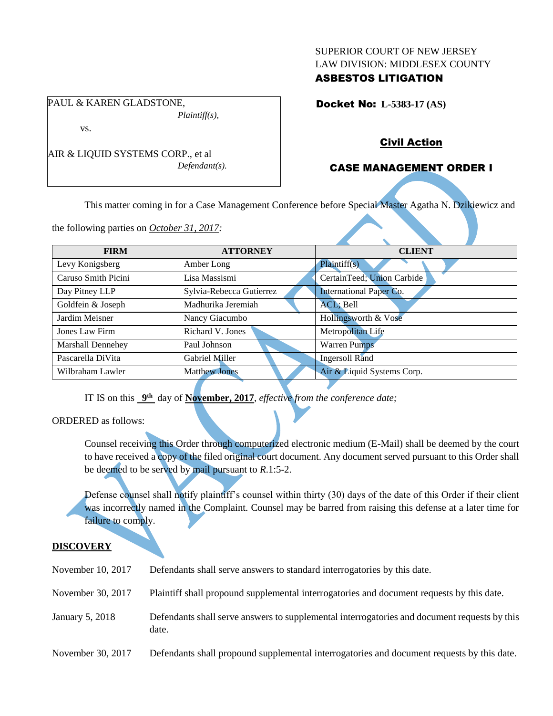### SUPERIOR COURT OF NEW JERSEY LAW DIVISION: MIDDLESEX COUNTY

## ASBESTOS LITIGATION

Docket No: **L-5383-17 (AS)** 

Civil Action

# CASE MANAGEMENT ORDER I

This matter coming in for a Case Management Conference before Special Master Agatha N. Dzikiewicz and

the following parties on *October 31, 2017:*

AIR & LIQUID SYSTEMS CORP., et al

PAUL & KAREN GLADSTONE,

vs.

*Plaintiff(s),*

*Defendant(s).*

| <b>FIRM</b>         | <b>ATTORNEY</b>          | <b>CLIENT</b>              |  |  |
|---------------------|--------------------------|----------------------------|--|--|
| Levy Konigsberg     | Amber Long               | Plaintiff(s)               |  |  |
| Caruso Smith Picini | Lisa Massismi            | CertainTeed; Union Carbide |  |  |
| Day Pitney LLP      | Sylvia-Rebecca Gutierrez | International Paper Co.    |  |  |
| Goldfein & Joseph   | Madhurika Jeremiah       | ACL; Bell                  |  |  |
| Jardim Meisner      | Nancy Giacumbo           | Hollingsworth & Vose       |  |  |
| Jones Law Firm      | Richard V. Jones         | Metropolitan Life          |  |  |
| Marshall Dennehey   | Paul Johnson             | <b>Warren Pumps</b>        |  |  |
| Pascarella DiVita   | Gabriel Miller           | <b>Ingersoll Rand</b>      |  |  |
| Wilbraham Lawler    | <b>Matthew Jones</b>     | Air & Liquid Systems Corp. |  |  |
|                     |                          |                            |  |  |

IT IS on this  $9<sup>th</sup>$  day of **November, 2017**, *effective from the conference date*;

ORDERED as follows:

Counsel receiving this Order through computerized electronic medium (E-Mail) shall be deemed by the court to have received a copy of the filed original court document. Any document served pursuant to this Order shall be deemed to be served by mail pursuant to *R*.1:5-2.

Defense counsel shall notify plaintiff's counsel within thirty (30) days of the date of this Order if their client was incorrectly named in the Complaint. Counsel may be barred from raising this defense at a later time for failure to comply.

### **DISCOVERY**

- November 10, 2017 Defendants shall serve answers to standard interrogatories by this date.
- November 30, 2017 Plaintiff shall propound supplemental interrogatories and document requests by this date.
- January 5, 2018 Defendants shall serve answers to supplemental interrogatories and document requests by this date.
- November 30, 2017 Defendants shall propound supplemental interrogatories and document requests by this date.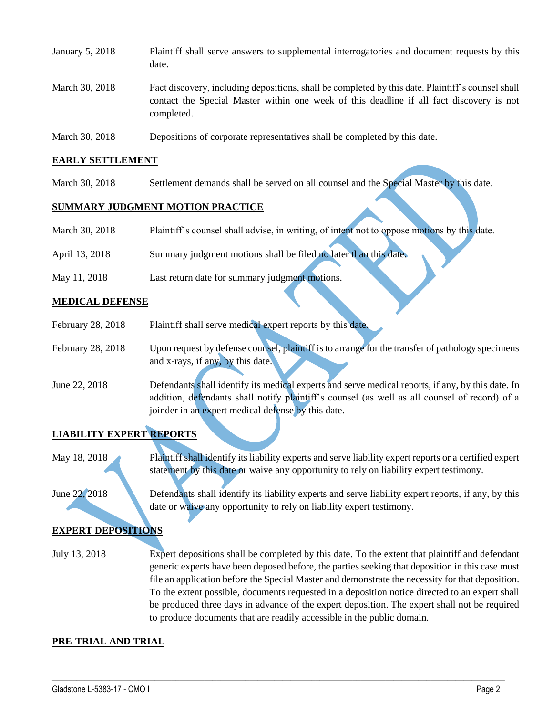| January 5, 2018 | Plaintiff shall serve answers to supplemental interrogatories and document requests by this<br>date.                                                                                                        |
|-----------------|-------------------------------------------------------------------------------------------------------------------------------------------------------------------------------------------------------------|
| March 30, 2018  | Fact discovery, including depositions, shall be completed by this date. Plaintiff's counsel shall<br>contact the Special Master within one week of this deadline if all fact discovery is not<br>completed. |
| March 30, 2018  | Depositions of corporate representatives shall be completed by this date.                                                                                                                                   |

### **EARLY SETTLEMENT**

March 30, 2018 Settlement demands shall be served on all counsel and the Special Master by this date.

### **SUMMARY JUDGMENT MOTION PRACTICE**

| March 30, 2018 | Plaintiff's counsel shall advise, in writing, of intent not to oppose motions by this date. |
|----------------|---------------------------------------------------------------------------------------------|
| April 13, 2018 | Summary judgment motions shall be filed no later than this date.                            |
| May 11, 2018   | Last return date for summary judgment motions.                                              |

#### **MEDICAL DEFENSE**

- February 28, 2018 Plaintiff shall serve medical expert reports by this date. February 28, 2018 Upon request by defense counsel, plaintiff is to arrange for the transfer of pathology specimens and x-rays, if any, by this date.
- June 22, 2018 Defendants shall identify its medical experts and serve medical reports, if any, by this date. In addition, defendants shall notify plaintiff's counsel (as well as all counsel of record) of a joinder in an expert medical defense by this date.

# **LIABILITY EXPERT REPORTS**

May 18, 2018 Plaintiff shall identify its liability experts and serve liability expert reports or a certified expert statement by this date or waive any opportunity to rely on liability expert testimony.

June 22, 2018 Defendants shall identify its liability experts and serve liability expert reports, if any, by this date or waive any opportunity to rely on liability expert testimony.

## **EXPERT DEPOSITIONS**

July 13, 2018 Expert depositions shall be completed by this date. To the extent that plaintiff and defendant generic experts have been deposed before, the parties seeking that deposition in this case must file an application before the Special Master and demonstrate the necessity for that deposition. To the extent possible, documents requested in a deposition notice directed to an expert shall be produced three days in advance of the expert deposition. The expert shall not be required to produce documents that are readily accessible in the public domain.

 $\_$  ,  $\_$  ,  $\_$  ,  $\_$  ,  $\_$  ,  $\_$  ,  $\_$  ,  $\_$  ,  $\_$  ,  $\_$  ,  $\_$  ,  $\_$  ,  $\_$  ,  $\_$  ,  $\_$  ,  $\_$  ,  $\_$  ,  $\_$  ,  $\_$  ,  $\_$  ,  $\_$  ,  $\_$  ,  $\_$  ,  $\_$  ,  $\_$  ,  $\_$  ,  $\_$  ,  $\_$  ,  $\_$  ,  $\_$  ,  $\_$  ,  $\_$  ,  $\_$  ,  $\_$  ,  $\_$  ,  $\_$  ,  $\_$  ,

### **PRE-TRIAL AND TRIAL**